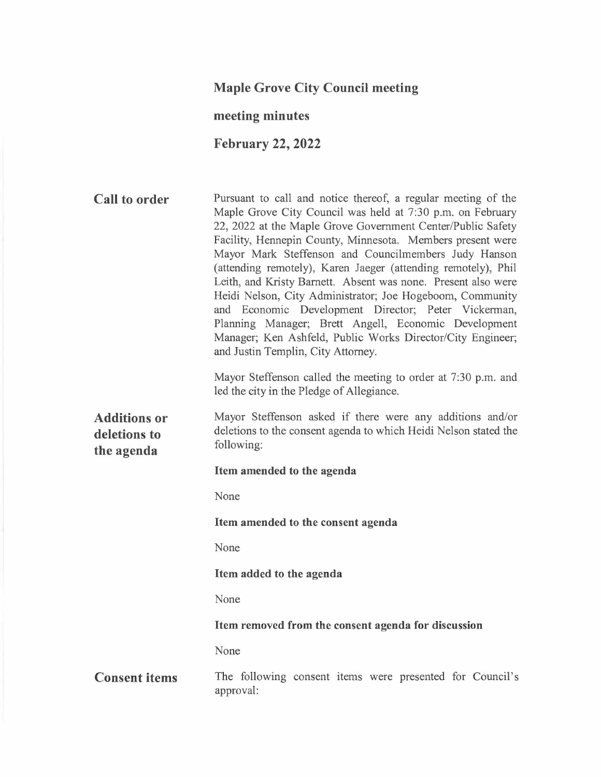# **Maple Grove City Council meeting**

# **meeting minutes**

# **February 22, 2022**

| <b>Call to order</b>                              | Pursuant to call and notice thereof, a regular meeting of the<br>Maple Grove City Council was held at 7:30 p.m. on February<br>22, 2022 at the Maple Grove Government Center/Public Safety<br>Facility, Hennepin County, Minnesota. Members present were<br>Mayor Mark Steffenson and Councilmembers Judy Hanson<br>(attending remotely), Karen Jaeger (attending remotely), Phil<br>Leith, and Kristy Barnett. Absent was none. Present also were<br>Heidi Nelson, City Administrator; Joe Hogeboom, Community<br>and Economic Development Director; Peter Vickerman,<br>Planning Manager; Brett Angell, Economic Development<br>Manager; Ken Ashfeld, Public Works Director/City Engineer;<br>and Justin Templin, City Attorney. |
|---------------------------------------------------|------------------------------------------------------------------------------------------------------------------------------------------------------------------------------------------------------------------------------------------------------------------------------------------------------------------------------------------------------------------------------------------------------------------------------------------------------------------------------------------------------------------------------------------------------------------------------------------------------------------------------------------------------------------------------------------------------------------------------------|
|                                                   | Mayor Steffenson called the meeting to order at 7:30 p.m. and<br>led the city in the Pledge of Allegiance.                                                                                                                                                                                                                                                                                                                                                                                                                                                                                                                                                                                                                         |
| <b>Additions or</b><br>deletions to<br>the agenda | Mayor Steffenson asked if there were any additions and/or<br>deletions to the consent agenda to which Heidi Nelson stated the<br>following:                                                                                                                                                                                                                                                                                                                                                                                                                                                                                                                                                                                        |
|                                                   | Item amended to the agenda                                                                                                                                                                                                                                                                                                                                                                                                                                                                                                                                                                                                                                                                                                         |
|                                                   | None                                                                                                                                                                                                                                                                                                                                                                                                                                                                                                                                                                                                                                                                                                                               |
|                                                   | Item amended to the consent agenda                                                                                                                                                                                                                                                                                                                                                                                                                                                                                                                                                                                                                                                                                                 |
|                                                   | None                                                                                                                                                                                                                                                                                                                                                                                                                                                                                                                                                                                                                                                                                                                               |
|                                                   | Item added to the agenda                                                                                                                                                                                                                                                                                                                                                                                                                                                                                                                                                                                                                                                                                                           |
|                                                   | None                                                                                                                                                                                                                                                                                                                                                                                                                                                                                                                                                                                                                                                                                                                               |
|                                                   |                                                                                                                                                                                                                                                                                                                                                                                                                                                                                                                                                                                                                                                                                                                                    |

# **Item removed from the consent agenda for discussion**

None

**Consent items**  The following consent items were presented for Council's approval: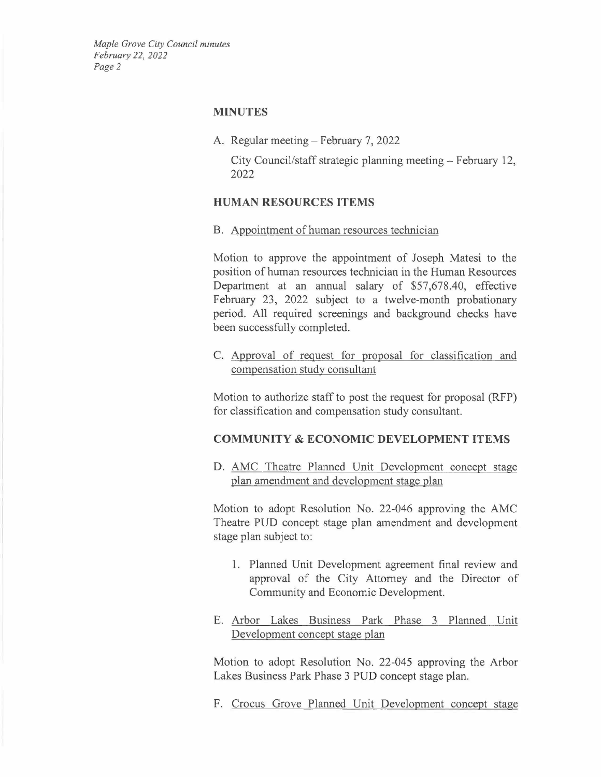### **MINUTES**

A. Regular meeting- February 7, 2022

City Council/staff strategic planning meeting – February 12, 2022

### **HUMAN RESOURCES ITEMS**

B. Appointment of human resources technician

Motion to approve the appointment of Joseph Matesi to the position of human resources technician in the Human Resources Department at an annual salary of \$57,678.40, effective February 23, 2022 subject to a twelve-month probationary period. All required screenings and background checks have been successfully completed.

C. Approval of request for proposal for classification and compensation study consultant

Motion to authorize staff to post the request for proposal (RFP) for classification and compensation study consultant.

### **COMMUNITY & ECONOMIC DEVELOPMENT ITEMS**

D. AMC Theatre Planned Unit Development concept stage plan amendment and development stage plan

Motion to adopt Resolution No. 22-046 approving the AMC Theatre PUD concept stage plan amendment and development stage plan subject to:

- 1. Planned Unit Development agreement final review and approval of the City Attorney and the Director of Community and Economic Development.
- E. Arbor Lakes Business Park Phase 3 Planned Unit Development concept stage plan

Motion to adopt Resolution No. 22-045 approving the Arbor Lakes Business Park Phase 3 PUD concept stage plan.

F. Crocus Grove Planned Unit Development concept stage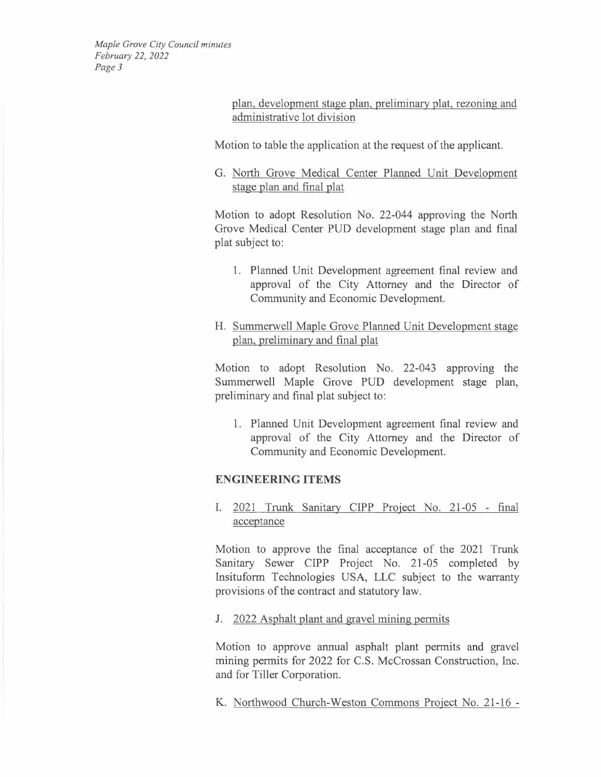> plan, development stage plan, preliminary plat, rezoning and administrative lot division

Motion to table the application at the request of the applicant.

G. North Grove Medical Center Planned Unit Development stage plan and final plat

Motion to adopt Resolution No. 22-044 approving the North Grove Medical Center PUD development stage plan and final plat subject to:

- 1. Planned Unit Development agreement final review and approval of the City Attorney and the Director of Community and Economic Development.
- H. Summerwell Maple Grove Planned Unit Development stage plan, preliminary and final plat

Motion to adopt Resolution No. 22-043 approving the Summerwell Maple Grove PUD development stage plan, preliminary and final plat subject to:

1. Planned Unit Development agreement final review and approval of the City Attorney and the Director of Community and Economic Development.

## **ENGINEERING ITEMS**

I. 2021 Trunk Sanitary CIPP Project No. 21-05 - final acceptance

Motion to approve the final acceptance of the 2021 Trunk Sanitary Sewer CIPP Project No. 21-05 completed by Insituform Technologies USA, LLC subject to the warranty provisions of the contract and statutory law.

## J. 2022 Asphalt plant and gravel mining permits

Motion to approve annual asphalt plant permits and gravel mining permits for 2022 for C.S. McCrossan Construction, Inc. and for Tiller Corporation.

K. Northwood Church-Weston Commons Project No. 21-16 -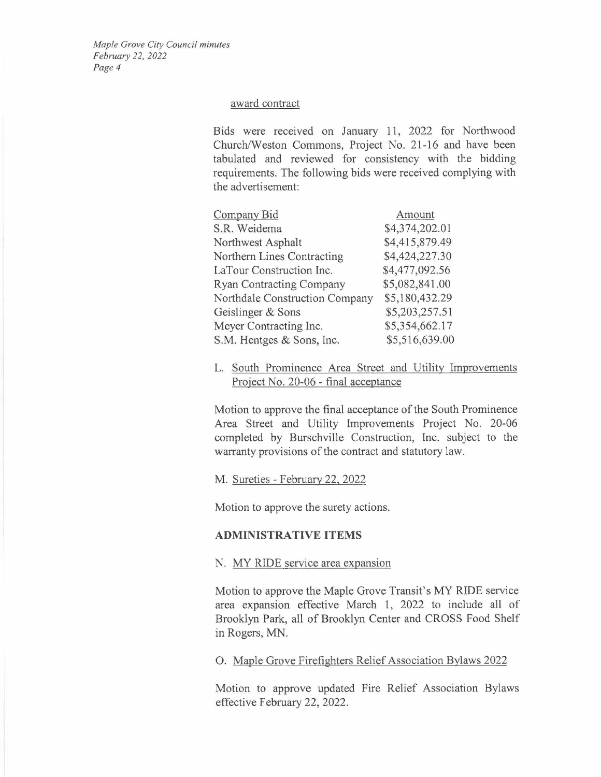#### award contract

Bids were received on January 11, 2022 for Northwood Church/Weston Commons, Project No. 21-16 and have been tabulated and reviewed for consistency with the bidding requirements. The following bids were received complying with the advertisement:

| Company Bid                     | Amount         |
|---------------------------------|----------------|
| S.R. Weidema                    | \$4,374,202.01 |
| Northwest Asphalt               | \$4,415,879.49 |
| Northern Lines Contracting      | \$4,424,227.30 |
| LaTour Construction Inc.        | \$4,477,092.56 |
| <b>Ryan Contracting Company</b> | \$5,082,841.00 |
| Northdale Construction Company  | \$5,180,432.29 |
| Geislinger & Sons               | \$5,203,257.51 |
| Meyer Contracting Inc.          | \$5,354,662.17 |
| S.M. Hentges & Sons, Inc.       | \$5,516,639.00 |

L. South Prominence Area Street and Utility Improvements Project No. 20-06 - final acceptance

Motion to approve the final acceptance of the South Prominence Area Street and Utility Improvements Project No. 20-06 completed by Burschville Construction, Inc. subject to the warranty provisions of the contract and statutory law.

M. Sureties - February 22, 2022

Motion to approve the surety actions.

### **ADMINISTRATIVE ITEMS**

#### N. MY RIDE service area expansion

Motion to approve the Maple Grove Transit's MY RIDE service area expansion effective March 1, 2022 to include all of Brooklyn Park, all of Brooklyn Center and CROSS Food Shelf in Rogers, MN.

0. Maple Grove Firefighters Relief Association Bylaws 2022

Motion to approve updated Fire Relief Association Bylaws effective February 22, 2022.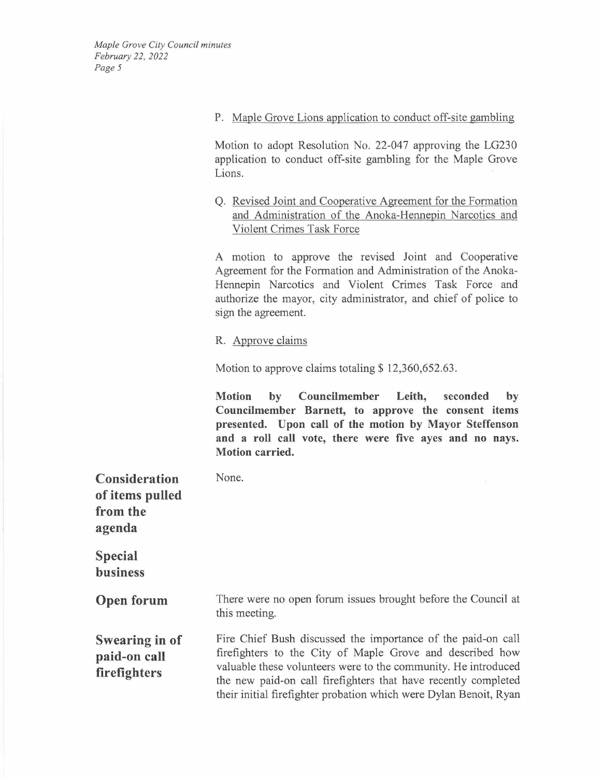**P.** Maple Grove Lions application to conduct off-site gambling

Motion to adopt Resolution No. 22-047 approving the LG230 application to conduct off-site gambling for the Maple Grove Lions.

Q. Revised Joint and Cooperative Agreement for the Formation and Administration of the Anoka-Hennepin Narcotics and Violent Crimes Task Force

A motion to approve the revised Joint and Cooperative Agreement for the Formation and Administration of the Anoka-Hennepin Narcotics and Violent Crimes Task Force and authorize the mayor, city administrator, and chief of police to sign the agreement.

R. Approve claims

None.

Motion to approve claims totaling  $$12,360,652.63$ .

**Motion by Councilmember Leith, seconded by Councilmember Barnett, to approve the consent items presented. Upon call of the motion by Mayor Steffenson and a roll call vote, there were five ayes and no nays. Motion carried.** 

**Consideration of items pulled from the agenda** 

**Special business** 

**Open forum**  There were no open forum issues brought before the Council at this meeting.

**Swearing in of paid-on call firefighters**  Fire Chief Bush discussed the importance of the paid-on call firefighters to the City of Maple Grove and described how valuable these volunteers were to the community. He introduced the new paid-on call firefighters that have recently completed their initial firefighter probation which were Dylan Benoit, Ryan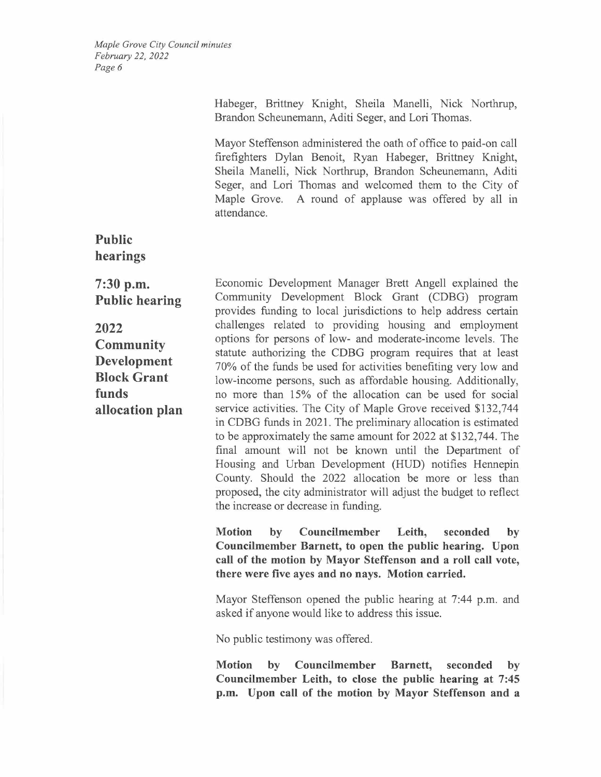> Habeger, Brittney Knight, Sheila Manelli, Nick Northrup, Brandon Scheunemann, Aditi Seger, and Lori Thomas.

> Mayor Steffenson administered the oath of office to paid-on call firefighters Dylan Benoit, Ryan Habeger, Brittney Knight, Sheila Manelli, Nick Northrup, Brandon Scheunemann, Aditi Seger, and Lori Thomas and welcomed them to the City of Maple Grove. A round of applause was offered by all in attendance.

**Public hearings** 

**7:30 p.m. Public hearing** 

**2022 Community Development Block Grant funds allocation plan** 

Economic Development Manager Brett Angell explained the Community Development Block Grant (CDBG) program provides funding to local jurisdictions to help address certain challenges related to providing housing and employment options for persons of low- and moderate-income levels. The statute authorizing the CDBG program requires that at least 70% of the funds be used for activities benefiting very low and low-income persons, such as affordable housing. Additionally, no more than 15% of the allocation can be used for social service activities. The City of Maple Grove received \$132,744 in CDBG funds in 2021. The preliminary allocation is estimated to be approximately the same amount for 2022 at \$132,744. The final amount will not be known until the Department of Housing and Urban Development (HUD) notifies Hennepin County. Should the 2022 allocation be more or less than proposed, the city administrator will adjust the budget to reflect the increase or decrease in funding.

**Motion by Councilmember Leith, seconded by Councilmember Barnett, to open the public hearing. Upon call of the motion by Mayor Steffenson and a roll call vote, there were five ayes and no nays. Motion carried.** 

Mayor Steffenson opened the public hearing at 7:44 p.m. and asked if anyone would like to address this issue.

No public testimony was offered.

**Motion by Councilmember Barnett, seconded by Councilmember Leith, to close the public hearing at 7:45 p.m. Upon call of the motion by Mayor Steffenson and a**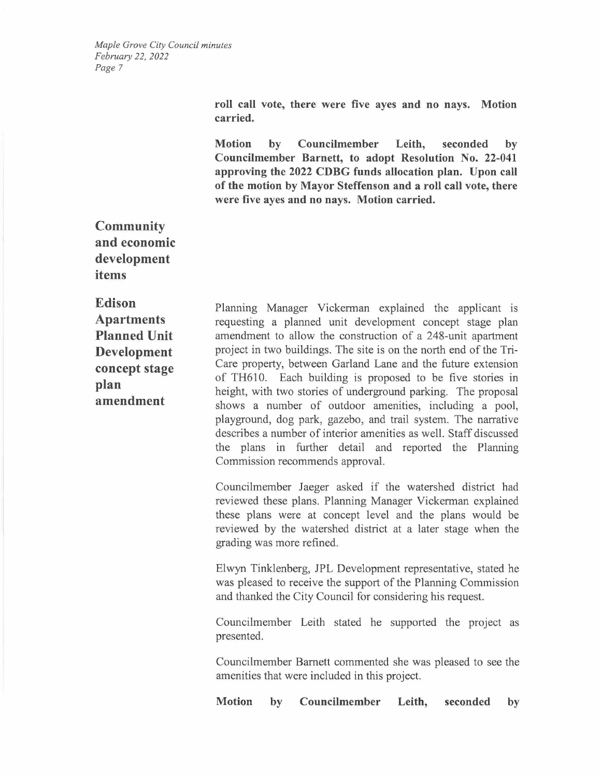> **roll call vote, there were five ayes and no nays. Motion carried.**

> **Motion by Councilmember Leith, seconded by Councilmember Barnett, to adopt Resolution No. 22-041 approving the 2022 CDBG funds allocation plan. Upon call of the motion by Mayor Steffenson and a roll call vote, there were five ayes and no nays. Motion carried.**

**Community and economic development items** 

**Edison Apartments Planned Unit Development concept stage plan amendment** 

Planning Manager Vickerman explained the applicant is requesting a planned unit development concept stage plan amendment to allow the construction of a 248-unit apartment project in two buildings. The site is on the north end of the Tri-Care property, between Garland Lane and the future extension of TH610. Each building is proposed to be five stories in height, with two stories of underground parking. The proposal shows a number of outdoor amenities, including a pool, playground, dog park, gazebo, and trail system. The narrative describes a number of interior amenities as well. Staff discussed the plans in further detail and reported the Planning Commission recommends approval.

Councilmember Jaeger asked if the watershed district had reviewed these plans. Planning Manager Vickerman explained these plans were at concept level and the plans would be reviewed by the watershed district at a later stage when the grading was more refined.

Elwyn Tinklenberg, JPL Development representative, stated he was pleased to receive the support of the Planning Commission and thanked the City Council for considering his request.

Councilmember Leith stated he supported the project as presented.

Councilmember Barnett commented she was pleased to see the amenities that were included in this project.

**Motion by Councilmember Leith, seconded by**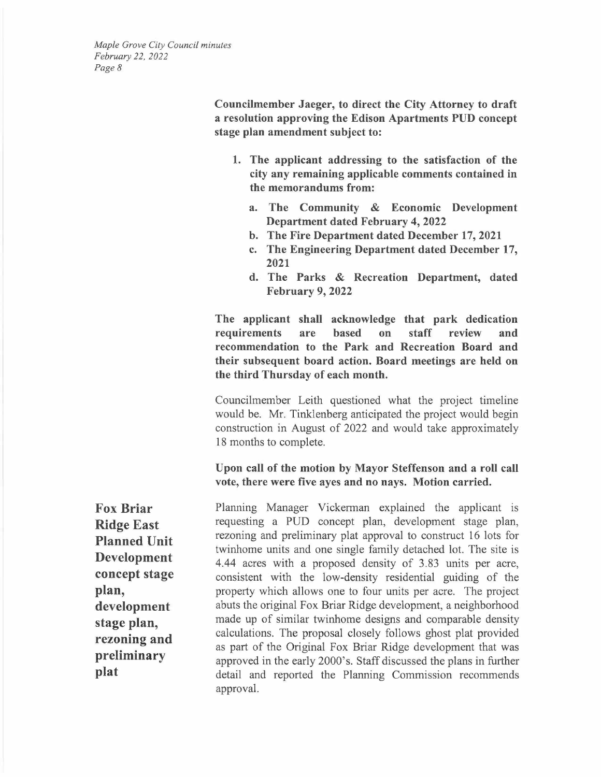> **Councilmember Jaeger, to direct the City Attorney to draft a resolution approving the Edison Apartments PUD concept stage plan amendment subject to:**

- **1. The applicant addressing to the satisfaction of the city any remaining applicable comments contained in the memorandums from:** 
	- **a. The Community** & **Economic Development Department dated February 4, 2022**
	- **b. The Fire Department dated December 17, 2021**
	- **c. The Engineering Department dated December 17, 2021**
	- **d. The Parks** & **Recreation Department, dated February 9, 2022**

**The applicant shall acknowledge that park dedication requirements are based on staff review and recommendation to the Park and Recreation Board and their subsequent board action. Board meetings are held on the third Thursday of each month.** 

Councilmember Leith questioned what the project timeline would be. Mr. Tinklenberg anticipated the project would begin construction in August of 2022 and would take approximately 18 months to complete.

**Upon call of the motion by Mayor Steffenson and a roll call vote, there were five ayes and no nays. Motion carried.** 

**Fox Briar Ridge East Planned Unit Development concept stage plan, development stage plan, rezoning and preliminary plat** 

Planning Manager Vickerman explained the applicant is requesting a PUD concept plan, development stage plan, rezoning and preliminary plat approval to construct 16 lots for twinhome units and one single family detached lot. The site is 4.44 acres with a proposed density of 3.83 units per acre, consistent with the low-density residential guiding of the property which allows one to four units per acre. The project abuts the original Fox Briar Ridge development, a neighborhood made up of similar twinhome designs and comparable density calculations. The proposal closely follows ghost plat provided as part of the Original Fox Briar Ridge development that was approved in the early 2000's. Staff discussed the plans in further detail and reported the Planning Commission recommends approval.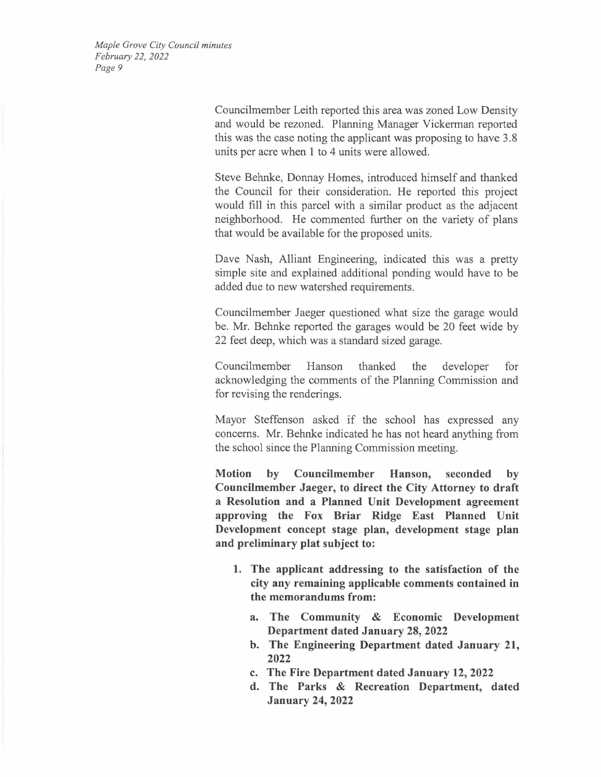> Councilmember Leith reported this area was zoned Low Density and would be rezoned. Planning Manager Vickerman reported this was the case noting the applicant was proposing to have 3.8 units per acre when 1 to 4 units were allowed.

> Steve Behnke, Donnay Homes, introduced himself and thanked the Council for their consideration. He reported this project would fill in this parcel with a similar product as the adjacent neighborhood. He commented further on the variety of plans that would be available for the proposed units.

> Dave Nash, Alliant Engineering, indicated this was a pretty simple site and explained additional ponding would have to be added due to new watershed requirements.

> Councilmember Jaeger questioned what size the garage would be. Mr. Behnke reported the garages would be 20 feet wide by 22 feet deep, which was a standard sized garage.

> Councilmember Hanson thanked the developer for acknowledging the comments of the Planning Commission and for revising the renderings.

> Mayor Steffenson asked if the school has expressed any concerns. Mr. Behnke indicated he has not heard anything from the school since the Planning Commission meeting.

> **Motion by Councilmember Hanson, seconded by Councilmember Jaeger, to direct the City Attorney to draft a Resolution and a Planned Unit Development agreement approving the Fox Briar Ridge East Planned Unit Development concept stage plan, development stage plan and preliminary plat subject to:**

- **1. The applicant addressing to the satisfaction of the city any remaining applicable comments contained in the memorandums from:** 
	- **a. The Community & Economic Development Department dated January 28, 2022**
	- **b. The Engineering Department dated January 21, 2022**
	- **c. The Fire Department dated January 12, 2022**
	- **d. The Parks & Recreation Department, dated January 24, 2022**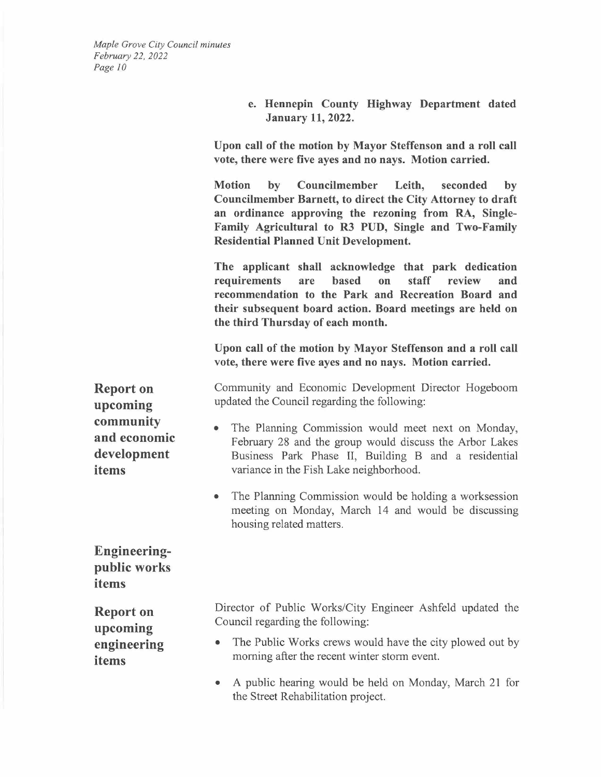> **e. Hennepin County Highway Department dated January 11, 2022.**

**Upon call of the motion by Mayor Steffenson and a roll call vote, there were five ayes and no nays. Motion carried.** 

**Motion by Councilmember Leith, seconded by Councilmember Barnett, to direct the City Attorney to draft an ordinance approving the rezoning from RA, Single-Family Agricultural to R3 PUD, Single and Two-Family Residential Planned Unit Development.** 

**The applicant shall acknowledge that park dedication requirements are based on staff review and recommendation to the Park and Recreation Board and their subsequent board action. Board meetings are held on the third Thursday of each month.** 

**Upon call of the motion by Mayor Steffenson and a roll call vote, there were five ayes and no nays. Motion carried.** 

Community and Economic Development Director Hogeboom updated the Council regarding the following:

- The Planning Commission would meet next on Monday, February 28 and the group would discuss the Arbor Lakes Business Park Phase II, Building B and a residential variance in the Fish Lake neighborhood.
- The Planning Commission would be holding a worksession meeting on Monday, March 14 and would be discussing housing related matters.

**Engineeringpublic works items** 

**Report on upcoming engineering items** 

Director of Public Works/City Engineer Ashfeld updated the Council regarding the following:

- The Public Works crews would have the city plowed out by morning after the recent winter storm event.
- A public hearing would be held on Monday, March 21 for the Street Rehabilitation project.

**Report on upcoming community and economic development items**